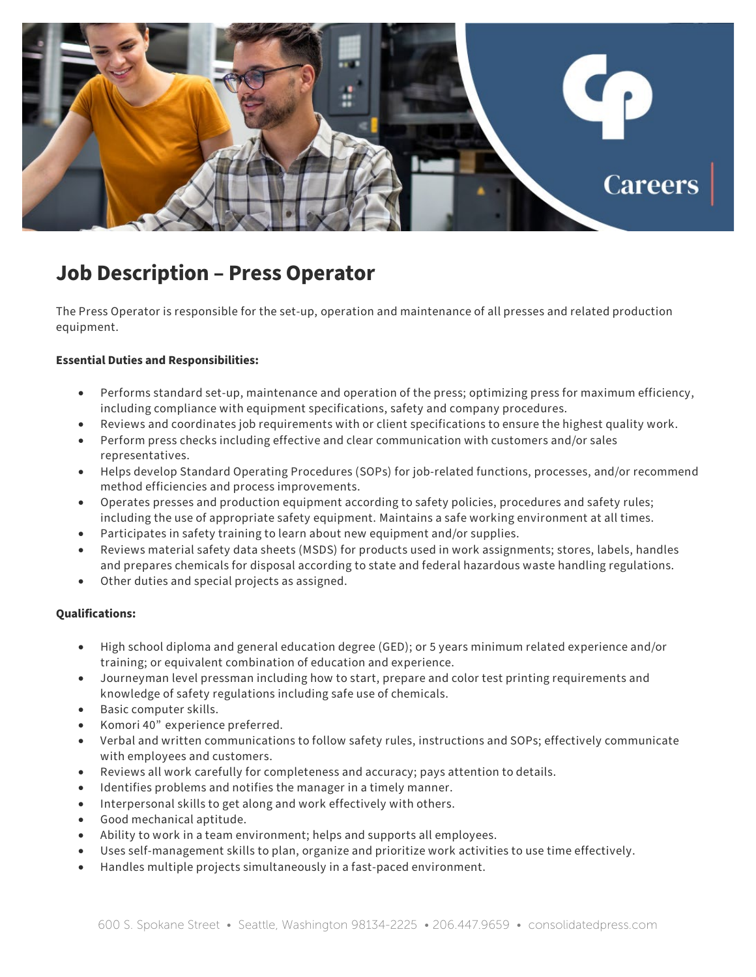

# **Job Description – Press Operator**

The Press Operator is responsible for the set-up, operation and maintenance of all presses and related production equipment.

## **Essential Duties and Responsibilities:**

- Performs standard set-up, maintenance and operation of the press; optimizing press for maximum efficiency, including compliance with equipment specifications, safety and company procedures.
- Reviews and coordinates job requirements with or client specifications to ensure the highest quality work.
- Perform press checks including effective and clear communication with customers and/or sales representatives.
- Helps develop Standard Operating Procedures (SOPs) for job-related functions, processes, and/or recommend method efficiencies and process improvements.
- Operates presses and production equipment according to safety policies, procedures and safety rules; including the use of appropriate safety equipment. Maintains a safe working environment at all times.
- Participates in safety training to learn about new equipment and/or supplies.
- Reviews material safety data sheets (MSDS) for products used in work assignments; stores, labels, handles and prepares chemicals for disposal according to state and federal hazardous waste handling regulations.
- Other duties and special projects as assigned.

#### **Qualifications:**

- High school diploma and general education degree (GED); or 5 years minimum related experience and/or training; or equivalent combination of education and experience.
- Journeyman level pressman including how to start, prepare and color test printing requirements and knowledge of safety regulations including safe use of chemicals.
- Basic computer skills.
- Komori 40" experience preferred.
- Verbal and written communications to follow safety rules, instructions and SOPs; effectively communicate with employees and customers.
- Reviews all work carefully for completeness and accuracy; pays attention to details.
- Identifies problems and notifies the manager in a timely manner.
- Interpersonal skills to get along and work effectively with others.
- Good mechanical aptitude.
- Ability to work in a team environment; helps and supports all employees.
- Uses self-management skills to plan, organize and prioritize work activities to use time effectively.
- Handles multiple projects simultaneously in a fast-paced environment.